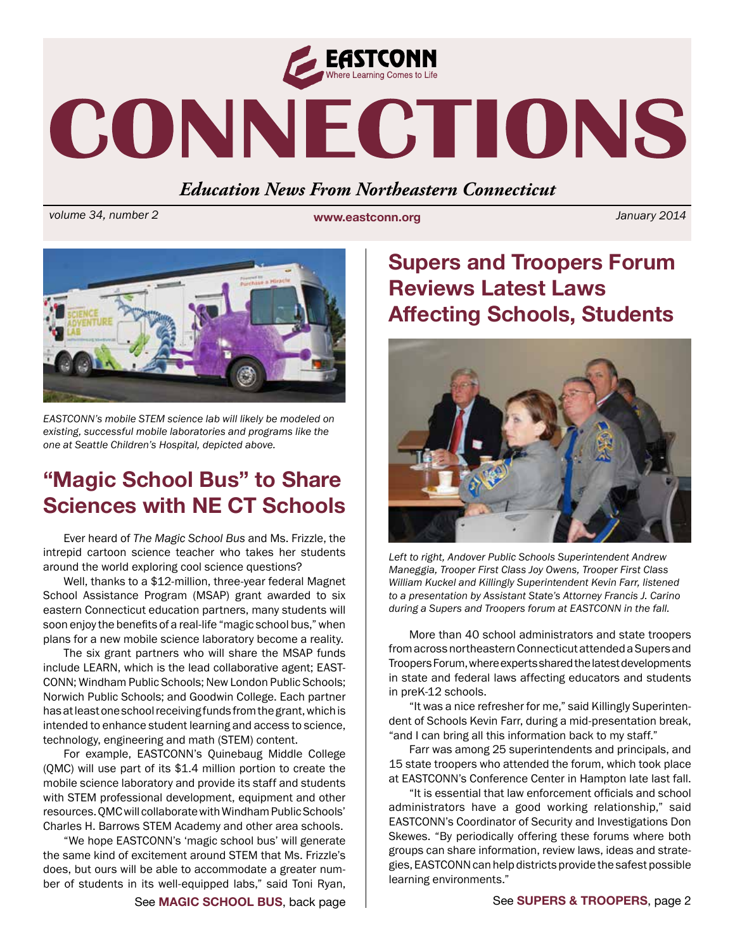

# CONNECTIONS

## *Education News From Northeastern Connecticut*

 *volume 34, number 2* **www.eastconn.org** *January 2014*



*EASTCONN's mobile STEM science lab will likely be modeled on existing, successful mobile laboratories and programs like the one at Seattle Children's Hospital, depicted above.* 

## **"Magic School Bus" to Share Sciences with NE CT Schools**

Ever heard of *The Magic School Bus* and Ms. Frizzle, the intrepid cartoon science teacher who takes her students around the world exploring cool science questions?

Well, thanks to a \$12-million, three-year federal Magnet School Assistance Program (MSAP) grant awarded to six eastern Connecticut education partners, many students will soon enjoy the benefts of a real-life "magic school bus," when plans for a new mobile science laboratory become a reality.

The six grant partners who will share the MSAP funds include LEARN, which is the lead collaborative agent; EAST-CONN; Windham Public Schools; New London Public Schools; Norwich Public Schools; and Goodwin College. Each partner has at least one school receiving funds from the grant, which is intended to enhance student learning and access to science, technology, engineering and math (STEM) content.

For example, EASTCONN's Quinebaug Middle College (QMC) will use part of its \$1.4 million portion to create the mobile science laboratory and provide its staff and students with STEM professional development, equipment and other resources. QMC will collaborate with Windham Public Schools' Charles H. Barrows STEM Academy and other area schools.

"We hope EASTCONN's 'magic school bus' will generate the same kind of excitement around STEM that Ms. Frizzle's does, but ours will be able to accommodate a greater number of students in its well-equipped labs," said Toni Ryan,

## **Supers and Troopers Forum Reviews Latest Laws Afecting Schools, Students**



*Left to right, Andover Public Schools Superintendent Andrew Maneggia, Trooper First Class Joy Owens, Trooper First Class William Kuckel and Killingly Superintendent Kevin Farr, listened to a presentation by Assistant State's Attorney Francis J. Carino during a Supers and Troopers forum at EASTCONN in the fall.* 

More than 40 school administrators and state troopers from across northeastern Connecticut attended a Supers and Troopers Forum, where experts shared the latest developments in state and federal laws affecting educators and students in preK-12 schools.

"It was a nice refresher for me," said Killingly Superintendent of Schools Kevin Farr, during a mid-presentation break, "and I can bring all this information back to my staff."

Farr was among 25 superintendents and principals, and 15 state troopers who attended the forum, which took place at EASTCONN's Conference Center in Hampton late last fall.

"It is essential that law enforcement offcials and school administrators have a good working relationship," said EASTCONN's Coordinator of Security and Investigations Don Skewes. "By periodically offering these forums where both groups can share information, review laws, ideas and strategies, EASTCONN can help districts provide the safest possible learning environments."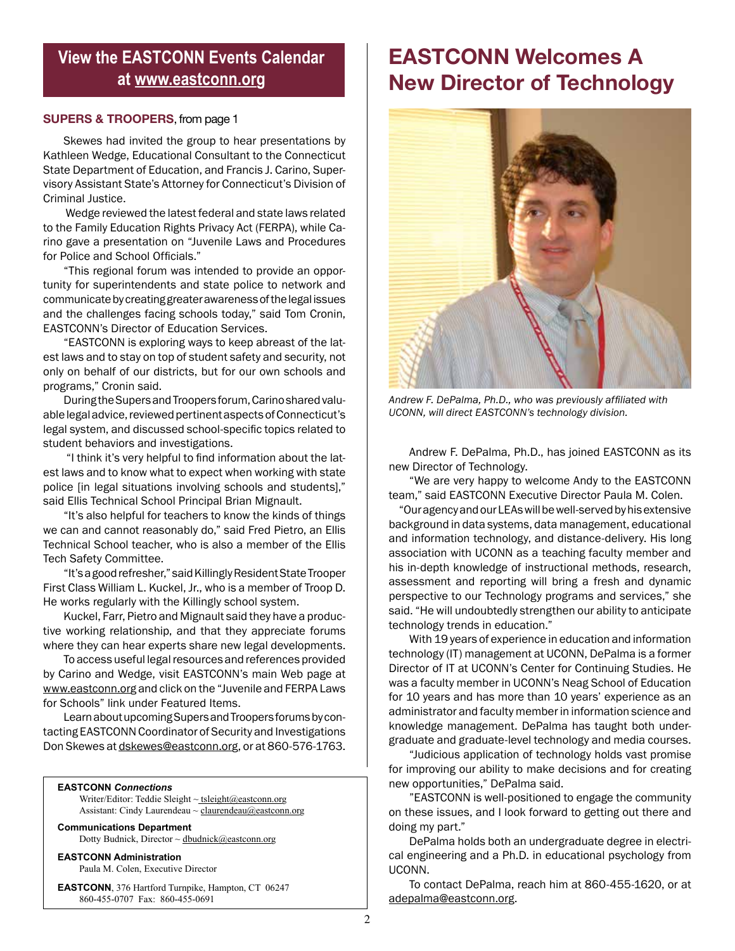## **View the EASTCONN Events Calendar at<www.eastconn.org>**

#### **SUPERS & TROOPERS**, from page 1

Skewes had invited the group to hear presentations by Kathleen Wedge, Educational Consultant to the Connecticut State Department of Education, and Francis J. Carino, Supervisory Assistant State's Attorney for Connecticut's Division of Criminal Justice.

 Wedge reviewed the latest federal and state laws related to the Family Education Rights Privacy Act (FERPA), while Carino gave a presentation on "Juvenile Laws and Procedures for Police and School Officials."

"This regional forum was intended to provide an opportunity for superintendents and state police to network and communicate by creating greater awareness of the legal issues and the challenges facing schools today," said Tom Cronin, EASTCONN's Director of Education Services.

"EASTCONN is exploring ways to keep abreast of the latest laws and to stay on top of student safety and security, not only on behalf of our districts, but for our own schools and programs," Cronin said.

During the Supers and Troopers forum, Carino shared valuable legal advice, reviewed pertinent aspects of Connecticut's legal system, and discussed school-specific topics related to student behaviors and investigations.

 "I think it's very helpful to fnd information about the latest laws and to know what to expect when working with state police [in legal situations involving schools and students]," said Ellis Technical School Principal Brian Mignault.

"It's also helpful for teachers to know the kinds of things we can and cannot reasonably do," said Fred Pietro, an Ellis Technical School teacher, who is also a member of the Ellis Tech Safety Committee.

"It's a good refresher," said Killingly Resident State Trooper First Class William L. Kuckel, Jr., who is a member of Troop D. He works regularly with the Killingly school system.

Kuckel, Farr, Pietro and Mignault said they have a productive working relationship, and that they appreciate forums where they can hear experts share new legal developments.

To access useful legal resources and references provided by Carino and Wedge, visit EASTCONN's main Web page at [www.eastconn.org](http://www.eastconn.org) and click on the "Juvenile and FERPA Laws for Schools" link under Featured Items.

Learn about upcoming Supers and Troopers forums by contacting EASTCONN Coordinator of Security and Investigations Don Skewes at [dskewes@eastconn.org](mailto:dskewes@eastconn.org), or at 860-576-1763.

#### **EASTCONN** *Connections*

Writer/Editor: Teddie Sleight ~ tsleight@eastconn.org Assistant: Cindy Laurendeau  $\sim$  claurendeau $@$ eastconn.org

**[Communications Department](%20mailto:connections@eastconn.org)** [Dotty Budnick](mailto:dbudnick@eastconn.org), Director  $\sim$  dbudnick@eastconn.org

#### **EASTCONN Administration**

Paula M. Colen, Executive Director

**EASTCONN**, 376 Hartford Turnpike, Hampton, CT 06247 860-455-0707 Fax: 860-455-0691

## **EASTCONN Welcomes A New Director of Technology**



*Andrew F. DePalma, Ph.D., who was previously affliated with UCONN, will direct EASTCONN's technology division.* 

Andrew F. DePalma, Ph.D., has joined EASTCONN as its new Director of Technology.

"We are very happy to welcome Andy to the EASTCONN team," said EASTCONN Executive Director Paula M. Colen.

 "Our agency and our LEAs will be well-served by his extensive background in data systems, data management, educational and information technology, and distance-delivery. His long association with UCONN as a teaching faculty member and his in-depth knowledge of instructional methods, research, assessment and reporting will bring a fresh and dynamic perspective to our Technology programs and services," she said. "He will undoubtedly strengthen our ability to anticipate technology trends in education."

With 19 years of experience in education and information technology (IT) management at UCONN, DePalma is a former Director of IT at UCONN's Center for Continuing Studies. He was a faculty member in UCONN's Neag School of Education for 10 years and has more than 10 years' experience as an administrator and faculty member in information science and knowledge management. DePalma has taught both undergraduate and graduate-level technology and media courses.

"Judicious application of technology holds vast promise for improving our ability to make decisions and for creating new opportunities," DePalma said.

"EASTCONN is well-positioned to engage the community on these issues, and I look forward to getting out there and doing my part."

DePalma holds both an undergraduate degree in electrical engineering and a Ph.D. in educational psychology from UCONN.

To contact DePalma, reach him at 860-455-1620, or at adepalma@eastconn.org.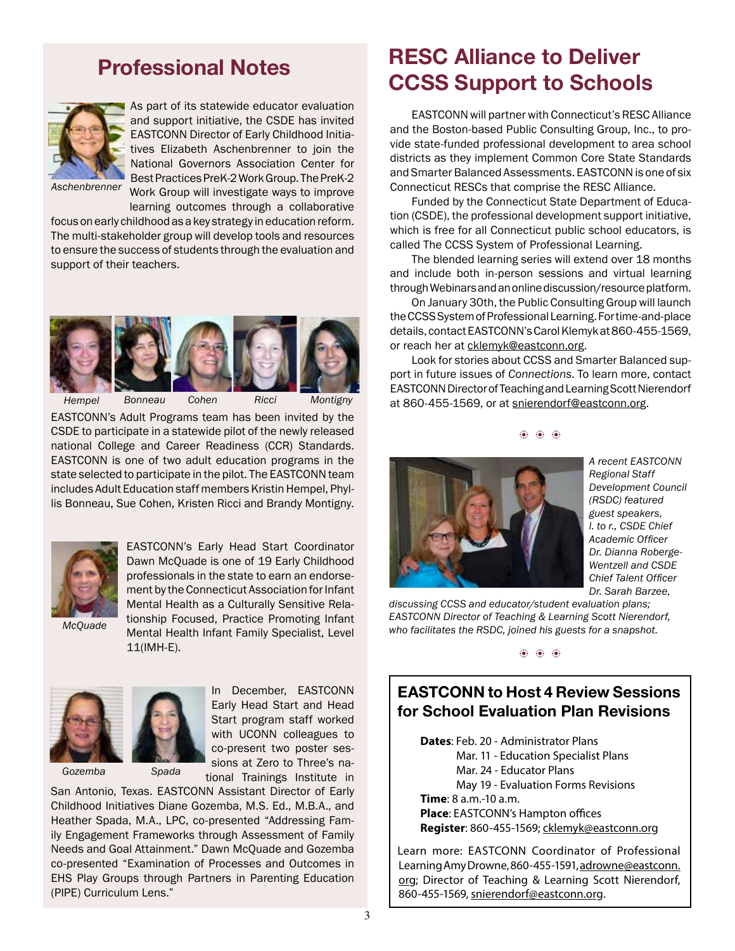## **Professional Notes**



As part of its statewide educator evaluation and support initiative, the CSDE has invited EASTCONN Director of Early Childhood Initiatives Elizabeth Aschenbrenner to join the National Governors Association Center for Best Practices PreK-2 Work Group. The PreK-2 Work Group will investigate ways to improve

*Aschenbrenner*

learning outcomes through a collaborative focus on early childhood as a key strategy in education reform. The multi-stakeholder group will develop tools and resources to ensure the success of students through the evaluation and support of their teachers.



*Hempel Bonneau Cohen Ricci Montigny*

EASTCONN's Adult Programs team has been invited by the CSDE to participate in a statewide pilot of the newly released national College and Career Readiness (CCR) Standards. EASTCONN is one of two adult education programs in the state selected to participate in the pilot. The EASTCONN team includes Adult Education staff members Kristin Hempel, Phyllis Bonneau, Sue Cohen, Kristen Ricci and Brandy Montigny.



EASTCONN's Early Head Start Coordinator Dawn McQuade is one of 19 Early Childhood professionals in the state to earn an endorsement by the Connecticut Association for Infant Mental Health as a Culturally Sensitive Relationship Focused, Practice Promoting Infant Mental Health Infant Family Specialist, Level 11(IMH-E).

*McQuade*



*Gozemba Spada*

In December, EASTCONN Early Head Start and Head Start program staff worked with UCONN colleagues to co-present two poster sessions at Zero to Three's na-

tional Trainings Institute in San Antonio, Texas. EASTCONN Assistant Director of Early

Childhood Initiatives Diane Gozemba, M.S. Ed., M.B.A., and Heather Spada, M.A., LPC, co-presented "Addressing Family Engagement Frameworks through Assessment of Family Needs and Goal Attainment." Dawn McQuade and Gozemba co-presented "Examination of Processes and Outcomes in EHS Play Groups through Partners in Parenting Education (PIPE) Curriculum Lens."

## **RESC Alliance to Deliver CCSS Support to Schools**

EASTCONN will partner with Connecticut's RESC Alliance and the Boston-based Public Consulting Group, Inc., to provide state-funded professional development to area school districts as they implement Common Core State Standards and Smarter Balanced Assessments. EASTCONN is one of six Connecticut RESCs that comprise the RESC Alliance.

Funded by the Connecticut State Department of Education (CSDE), the professional development support initiative, which is free for all Connecticut public school educators, is called The CCSS System of Professional Learning.

The blended learning series will extend over 18 months and include both in-person sessions and virtual learning through Webinars and an online discussion/resource platform.

On January 30th, the Public Consulting Group will launch the CCSS System of Professional Learning. For time-and-place details, contact EASTCONN's Carol Klemyk at 860-455-1569, or reach her at cklemyk@eastconn.org.

Look for stories about CCSS and Smarter Balanced support in future issues of *Connections*. To learn more, contact EASTCONN Director of Teaching and Learning Scott Nierendorf at 860-455-1569, or at snierendorf@eastconn.org.

 $\langle \hat{\bullet} \rangle$   $\langle \hat{\bullet} \rangle$ 



*A recent EASTCONN Regional Staff Development Council (RSDC) featured guest speakers, l. to r., CSDE Chief Academic Offcer Dr. Dianna Roberge-Wentzell and CSDE Chief Talent Offcer Dr. Sarah Barzee,* 

*discussing CCSS and educator/student evaluation plans; EASTCONN Director of Teaching & Learning Scott Nierendorf, who facilitates the RSDC, joined his guests for a snapshot.* 

 $\circledcirc$   $\circledcirc$ 

### **EASTCONN to Host 4 Review Sessions for School Evaluation Plan Revisions**

**Dates**: Feb. 20 - Administrator Plans Mar. 11 - Education Specialist Plans Mar. 24 - Educator Plans May 19 - Evaluation Forms Revisions **Time**: 8 a.m.-10 a.m. **Place**: EASTCONN's Hampton offices **Register**: 860-455-1569; [cklemyk@eastconn.org](mailto:cklemyk@eastconn.org)

Learn more: EASTCONN Coordinator of Professional Learning Amy Drowne, 860-455-1591, [adrowne@eastconn.](mailto:adrowne@eastconn.org) [org](mailto:adrowne@eastconn.org); Director of Teaching & Learning Scott Nierendorf, 860-455-1569, [snierendorf@eastconn.org.](mailto:snierendorf@eastconn.org)